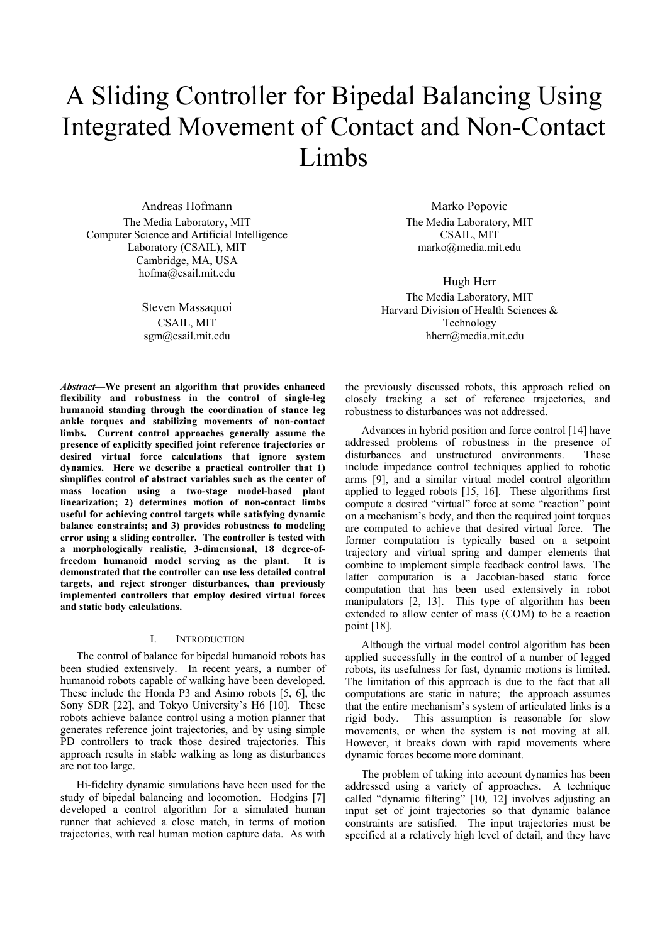# A Sliding Controller for Bipedal Balancing Using Integrated Movement of Contact and Non-Contact Limbs

Andreas Hofmann The Media Laboratory, MIT Computer Science and Artificial Intelligence Laboratory (CSAIL), MIT Cambridge, MA, USA hofma@csail.mit.edu

> Steven Massaquoi CSAIL, MIT sgm@csail.mit.edu

*Abstract***—We present an algorithm that provides enhanced flexibility and robustness in the control of single-leg humanoid standing through the coordination of stance leg ankle torques and stabilizing movements of non-contact limbs. Current control approaches generally assume the presence of explicitly specified joint reference trajectories or desired virtual force calculations that ignore system dynamics. Here we describe a practical controller that 1) simplifies control of abstract variables such as the center of mass location using a two-stage model-based plant linearization; 2) determines motion of non-contact limbs useful for achieving control targets while satisfying dynamic balance constraints; and 3) provides robustness to modeling error using a sliding controller. The controller is tested with a morphologically realistic, 3-dimensional, 18 degree-offreedom humanoid model serving as the plant. It is demonstrated that the controller can use less detailed control targets, and reject stronger disturbances, than previously implemented controllers that employ desired virtual forces and static body calculations.** 

#### I. INTRODUCTION

The control of balance for bipedal humanoid robots has been studied extensively. In recent years, a number of humanoid robots capable of walking have been developed. These include the Honda P3 and Asimo robots [5, 6], the Sony SDR [22], and Tokyo University's H6 [10]. These robots achieve balance control using a motion planner that generates reference joint trajectories, and by using simple PD controllers to track those desired trajectories. This approach results in stable walking as long as disturbances are not too large.

Hi-fidelity dynamic simulations have been used for the study of bipedal balancing and locomotion. Hodgins [7] developed a control algorithm for a simulated human runner that achieved a close match, in terms of motion trajectories, with real human motion capture data. As with

Marko Popovic The Media Laboratory, MIT CSAIL, MIT marko@media.mit.edu

Hugh Herr The Media Laboratory, MIT Harvard Division of Health Sciences & Technology hherr@media.mit.edu

the previously discussed robots, this approach relied on closely tracking a set of reference trajectories, and robustness to disturbances was not addressed.

Advances in hybrid position and force control [14] have addressed problems of robustness in the presence of disturbances and unstructured environments. These include impedance control techniques applied to robotic arms [9], and a similar virtual model control algorithm applied to legged robots [15, 16]. These algorithms first compute a desired "virtual" force at some "reaction" point on a mechanism's body, and then the required joint torques are computed to achieve that desired virtual force. The former computation is typically based on a setpoint trajectory and virtual spring and damper elements that combine to implement simple feedback control laws. The latter computation is a Jacobian-based static force computation that has been used extensively in robot manipulators [2, 13]. This type of algorithm has been extended to allow center of mass (COM) to be a reaction point [18].

Although the virtual model control algorithm has been applied successfully in the control of a number of legged robots, its usefulness for fast, dynamic motions is limited. The limitation of this approach is due to the fact that all computations are static in nature; the approach assumes that the entire mechanism's system of articulated links is a rigid body. This assumption is reasonable for slow movements, or when the system is not moving at all. However, it breaks down with rapid movements where dynamic forces become more dominant.

The problem of taking into account dynamics has been addressed using a variety of approaches. A technique called "dynamic filtering" [10, 12] involves adjusting an input set of joint trajectories so that dynamic balance constraints are satisfied. The input trajectories must be specified at a relatively high level of detail, and they have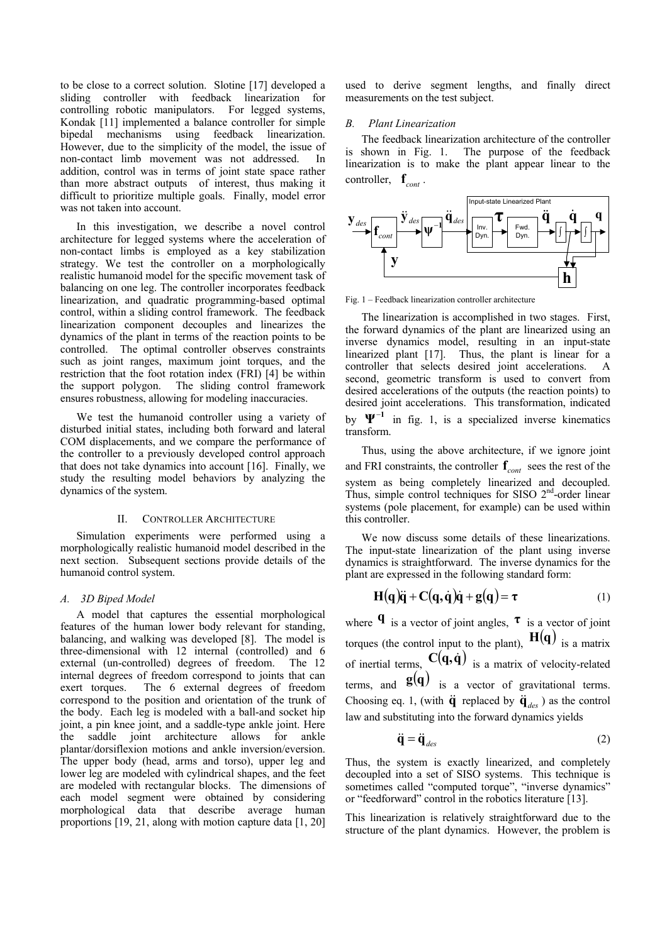to be close to a correct solution. Slotine [17] developed a sliding controller with feedback linearization for controlling robotic manipulators. For legged systems, Kondak [11] implemented a balance controller for simple bipedal mechanisms using feedback linearization. However, due to the simplicity of the model, the issue of non-contact limb movement was not addressed. In addition, control was in terms of joint state space rather than more abstract outputs of interest, thus making it difficult to prioritize multiple goals. Finally, model error was not taken into account.

In this investigation, we describe a novel control architecture for legged systems where the acceleration of non-contact limbs is employed as a key stabilization strategy. We test the controller on a morphologically realistic humanoid model for the specific movement task of balancing on one leg. The controller incorporates feedback linearization, and quadratic programming-based optimal control, within a sliding control framework. The feedback linearization component decouples and linearizes the dynamics of the plant in terms of the reaction points to be controlled. The optimal controller observes constraints such as joint ranges, maximum joint torques, and the restriction that the foot rotation index (FRI) [4] be within the support polygon. The sliding control framework ensures robustness, allowing for modeling inaccuracies.

We test the humanoid controller using a variety of disturbed initial states, including both forward and lateral COM displacements, and we compare the performance of the controller to a previously developed control approach that does not take dynamics into account [16]. Finally, we study the resulting model behaviors by analyzing the dynamics of the system.

#### II. CONTROLLER ARCHITECTURE

Simulation experiments were performed using a morphologically realistic humanoid model described in the next section. Subsequent sections provide details of the humanoid control system.

## *A. 3D Biped Model*

A model that captures the essential morphological features of the human lower body relevant for standing, balancing, and walking was developed [8]. The model is three-dimensional with 12 internal (controlled) and 6 external (un-controlled) degrees of freedom. The 12 internal degrees of freedom correspond to joints that can exert torques. The 6 external degrees of freedom correspond to the position and orientation of the trunk of the body. Each leg is modeled with a ball-and socket hip joint, a pin knee joint, and a saddle-type ankle joint. Here the saddle joint architecture allows for ankle plantar/dorsiflexion motions and ankle inversion/eversion. The upper body (head, arms and torso), upper leg and lower leg are modeled with cylindrical shapes, and the feet are modeled with rectangular blocks. The dimensions of each model segment were obtained by considering morphological data that describe average human proportions [19, 21, along with motion capture data [1, 20]

used to derive segment lengths, and finally direct measurements on the test subject.

## *B. Plant Linearization*

The feedback linearization architecture of the controller is shown in Fig. 1. The purpose of the feedback linearization is to make the plant appear linear to the controller,  $\mathbf{f}_{cont}$ .



Fig. 1 – Feedback linearization controller architecture

The linearization is accomplished in two stages. First, the forward dynamics of the plant are linearized using an inverse dynamics model, resulting in an input-state linearized plant [17]. Thus, the plant is linear for a controller that selects desired joint accelerations. A second, geometric transform is used to convert from desired accelerations of the outputs (the reaction points) to desired joint accelerations. This transformation, indicated by  $\Psi^{-1}$  in fig. 1, is a specialized inverse kinematics transform.

Thus, using the above architecture, if we ignore joint and FRI constraints, the controller  $\mathbf{f}_{cont}$  sees the rest of the system as being completely linearized and decoupled. Thus, simple control techniques for SISO  $2<sup>nd</sup>$ -order linear systems (pole placement, for example) can be used within this controller.

We now discuss some details of these linearizations. The input-state linearization of the plant using inverse dynamics is straightforward. The inverse dynamics for the plant are expressed in the following standard form:

$$
H(q)\ddot{q} + C(q, \dot{q})\dot{q} + g(q) = \tau \tag{1}
$$

where  $\mathbf{q}$  is a vector of joint angles,  $\mathbf{\tau}$  is a vector of joint torques (the control input to the plant),  $H(q)$  is a matrix of inertial terms,  $C(q, \dot{q})$  is a matrix of velocity-related terms, and  $\mathbf{g}(\mathbf{q})$  is a vector of gravitational terms. Choosing eq. 1, (with  $\ddot{\mathbf{q}}$  replaced by  $\ddot{\mathbf{q}}_{des}$ ) as the control law and substituting into the forward dynamics yields

$$
\ddot{\mathbf{q}} = \ddot{\mathbf{q}}_{des} \tag{2}
$$

Thus, the system is exactly linearized, and completely decoupled into a set of SISO systems. This technique is sometimes called "computed torque", "inverse dynamics" or "feedforward" control in the robotics literature [13].

This linearization is relatively straightforward due to the structure of the plant dynamics. However, the problem is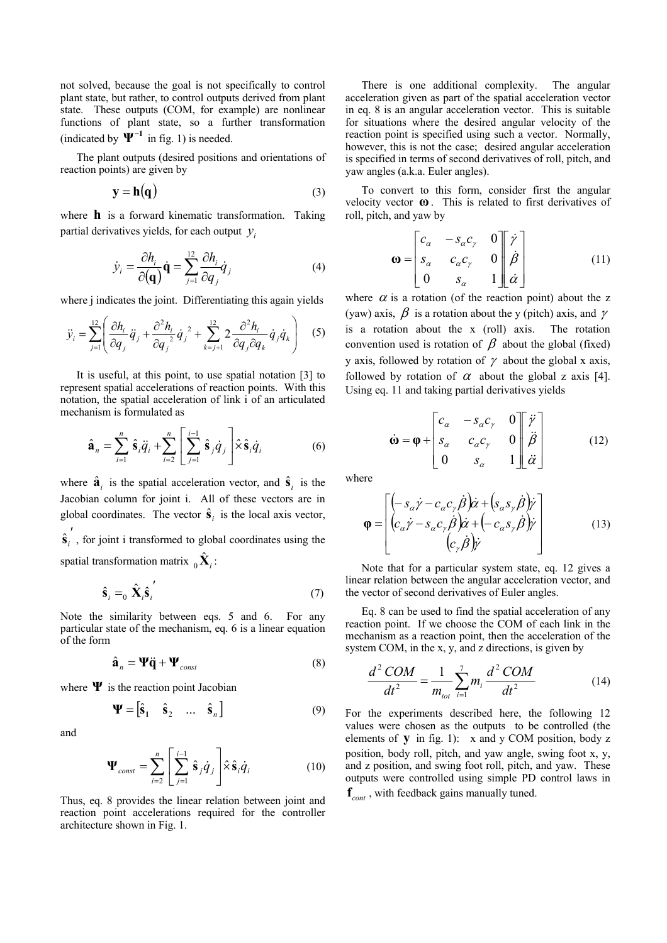not solved, because the goal is not specifically to control plant state, but rather, to control outputs derived from plant state. These outputs (COM, for example) are nonlinear functions of plant state, so a further transformation (indicated by  $\Psi^{-1}$  in fig. 1) is needed.

The plant outputs (desired positions and orientations of reaction points) are given by

$$
y = h(q) \tag{3}
$$

where **h** is a forward kinematic transformation. Taking partial derivatives yields, for each output  $y_i$ 

$$
\dot{\mathcal{Y}}_i = \frac{\partial h_i}{\partial (\mathbf{q})} \dot{\mathbf{q}} = \sum_{j=1}^{12} \frac{\partial h_i}{\partial q_j} \dot{q}_j
$$
(4)

where *j* indicates the joint. Differentiating this again yields

$$
\ddot{y}_i = \sum_{j=1}^{12} \left( \frac{\partial h_i}{\partial q_j} \ddot{q}_j + \frac{\partial^2 h_i}{\partial q_j^2} \dot{q}_j^2 + \sum_{k=j+1}^{12} 2 \frac{\partial^2 h_i}{\partial q_j \partial q_k} \dot{q}_j \dot{q}_k \right)
$$
(5)

It is useful, at this point, to use spatial notation [3] to represent spatial accelerations of reaction points. With this notation, the spatial acceleration of link i of an articulated mechanism is formulated as

$$
\hat{\mathbf{a}}_n = \sum_{i=1}^n \hat{\mathbf{s}}_i \ddot{q}_i + \sum_{i=2}^n \left[ \sum_{j=1}^{i-1} \hat{\mathbf{s}}_j \dot{q}_j \right] \hat{\times} \hat{\mathbf{s}}_i \dot{q}_i \tag{6}
$$

where  $\hat{\mathbf{a}}_i$  is the spatial acceleration vector, and  $\hat{\mathbf{s}}_i$  is the Jacobian column for joint i. All of these vectors are in global coordinates. The vector  $\hat{\mathbf{s}}_i$  is the local axis vector,  $\hat{\textbf{s}}_i'$ , for joint i transformed to global coordinates using the spatial transformation matrix  $\delta_{ij} \hat{\mathbf{X}}_i$ :

$$
\hat{\mathbf{s}}_i =_0 \hat{\mathbf{X}}_i \hat{\mathbf{s}}_i' \tag{7}
$$

Note the similarity between eqs. 5 and 6. For any particular state of the mechanism, eq. 6 is a linear equation of the form

$$
\hat{\mathbf{a}}_n = \mathbf{\Psi}\ddot{\mathbf{q}} + \mathbf{\Psi}_{const} \tag{8}
$$

where  $\Psi$  is the reaction point Jacobian

$$
\mathbf{\Psi} = \begin{bmatrix} \hat{\mathbf{s}}_1 & \hat{\mathbf{s}}_2 & \dots & \hat{\mathbf{s}}_n \end{bmatrix}
$$
 (9)

and

$$
\mathbf{\Psi}_{const} = \sum_{i=2}^{n} \left[ \sum_{j=1}^{i-1} \hat{\mathbf{s}}_{j} \dot{q}_{j} \right] \hat{\times} \hat{\mathbf{s}}_{i} \dot{q}_{i} \tag{10}
$$

Thus, eq. 8 provides the linear relation between joint and reaction point accelerations required for the controller architecture shown in Fig. 1.

There is one additional complexity. The angular acceleration given as part of the spatial acceleration vector in eq. 8 is an angular acceleration vector. This is suitable for situations where the desired angular velocity of the reaction point is specified using such a vector. Normally, however, this is not the case; desired angular acceleration is specified in terms of second derivatives of roll, pitch, and yaw angles (a.k.a. Euler angles).

To convert to this form, consider first the angular velocity vector **ω** . This is related to first derivatives of roll, pitch, and yaw by

$$
\mathbf{\omega} = \begin{bmatrix} c_{\alpha} & -s_{\alpha}c_{\gamma} & 0 \\ s_{\alpha} & c_{\alpha}c_{\gamma} & 0 \\ 0 & s_{\alpha} & 1 \end{bmatrix} \begin{bmatrix} \dot{\gamma} \\ \dot{\beta} \\ \dot{\alpha} \end{bmatrix}
$$
(11)

where  $\alpha$  is a rotation (of the reaction point) about the z (yaw) axis,  $\beta$  is a rotation about the y (pitch) axis, and  $\gamma$ is a rotation about the x (roll) axis. The rotation convention used is rotation of  $\beta$  about the global (fixed) y axis, followed by rotation of  $\gamma$  about the global x axis, followed by rotation of  $\alpha$  about the global z axis [4]. Using eq. 11 and taking partial derivatives yields

$$
\dot{\mathbf{\omega}} = \mathbf{\varphi} + \begin{bmatrix} c_{\alpha} & -s_{\alpha}c_{\gamma} & 0 \\ s_{\alpha} & c_{\alpha}c_{\gamma} & 0 \\ 0 & s_{\alpha} & 1 \end{bmatrix} \begin{bmatrix} \ddot{\gamma} \\ \ddot{\beta} \\ \ddot{\alpha} \end{bmatrix}
$$
(12)

where

$$
\mathbf{\varphi} = \begin{bmatrix} (-s_{\alpha}\dot{\gamma} - c_{\alpha}c_{\gamma}\dot{\beta})\dot{\alpha} + (s_{\alpha}s_{\gamma}\dot{\beta})\dot{\gamma} \\ (c_{\alpha}\dot{\gamma} - s_{\alpha}c_{\gamma}\dot{\beta})\dot{\alpha} + (-c_{\alpha}s_{\gamma}\dot{\beta})\dot{\gamma} \\ (c_{\gamma}\dot{\beta})\dot{\gamma} \end{bmatrix}
$$
(13)

Note that for a particular system state, eq. 12 gives a linear relation between the angular acceleration vector, and the vector of second derivatives of Euler angles.

Eq. 8 can be used to find the spatial acceleration of any reaction point. If we choose the COM of each link in the mechanism as a reaction point, then the acceleration of the system COM, in the x, y, and z directions, is given by

$$
\frac{d^2 COM}{dt^2} = \frac{1}{m_{tot}} \sum_{i=1}^{7} m_i \frac{d^2 COM}{dt^2}
$$
 (14)

For the experiments described here, the following 12 values were chosen as the outputs to be controlled (the elements of **y** in fig. 1): x and y COM position, body z position, body roll, pitch, and yaw angle, swing foot x, y, and z position, and swing foot roll, pitch, and yaw. These outputs were controlled using simple PD control laws in  $f_{\text{cont}}$ , with feedback gains manually tuned.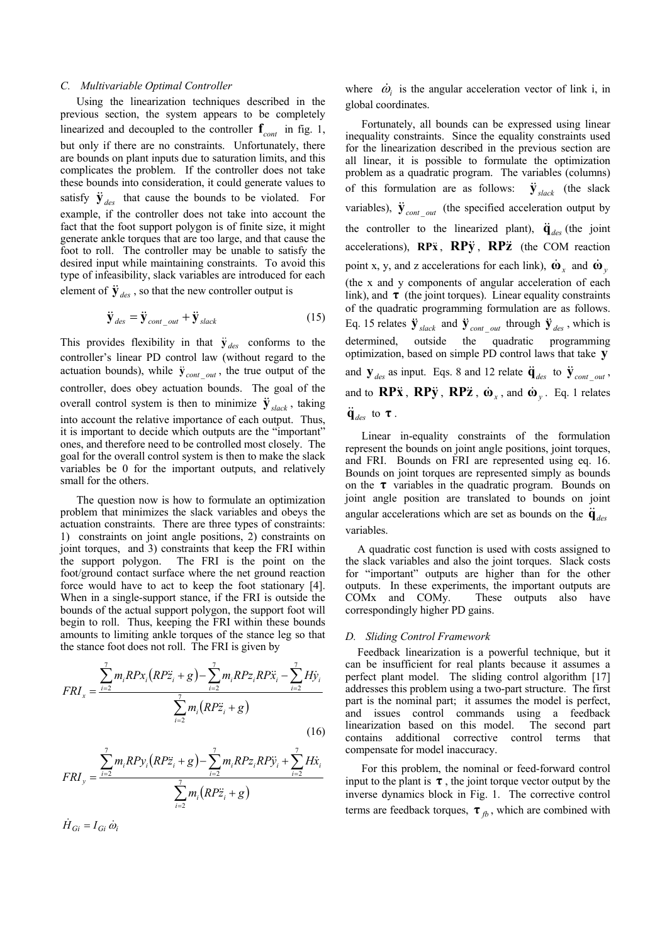#### *C. Multivariable Optimal Controller*

Using the linearization techniques described in the previous section, the system appears to be completely linearized and decoupled to the controller  $f_{cont}$  in fig. 1, but only if there are no constraints. Unfortunately, there are bounds on plant inputs due to saturation limits, and this complicates the problem. If the controller does not take these bounds into consideration, it could generate values to satisfy  $\ddot{y}_{des}$  that cause the bounds to be violated. For example, if the controller does not take into account the fact that the foot support polygon is of finite size, it might generate ankle torques that are too large, and that cause the foot to roll. The controller may be unable to satisfy the desired input while maintaining constraints. To avoid this type of infeasibility, slack variables are introduced for each element of  $\ddot{y}_{des}$ , so that the new controller output is

$$
\ddot{\mathbf{y}}_{des} = \ddot{\mathbf{y}}_{cont out} + \ddot{\mathbf{y}}_{slack}
$$
 (15)

This provides flexibility in that  $\ddot{y}_{des}$  conforms to the controller's linear PD control law (without regard to the actuation bounds), while  $\ddot{y}_{cont}$   $_{out}$ , the true output of the controller, does obey actuation bounds. The goal of the overall control system is then to minimize  $\ddot{y}_{slack}$ , taking into account the relative importance of each output. Thus, it is important to decide which outputs are the "important" ones, and therefore need to be controlled most closely. The goal for the overall control system is then to make the slack variables be 0 for the important outputs, and relatively small for the others.

The question now is how to formulate an optimization problem that minimizes the slack variables and obeys the actuation constraints. There are three types of constraints: 1) constraints on joint angle positions, 2) constraints on joint torques, and 3) constraints that keep the FRI within the support polygon. The FRI is the point on the foot/ground contact surface where the net ground reaction force would have to act to keep the foot stationary [4]. When in a single-support stance, if the FRI is outside the bounds of the actual support polygon, the support foot will begin to roll. Thus, keeping the FRI within these bounds amounts to limiting ankle torques of the stance leg so that the stance foot does not roll. The FRI is given by

$$
FRI_x = \frac{\sum_{i=2}^{7} m_i R P x_i (R P \ddot{z}_i + g) - \sum_{i=2}^{7} m_i R P z_i R P \ddot{x}_i - \sum_{i=2}^{7} H \dot{y}_i}{\sum_{i=2}^{7} m_i (R P \ddot{z}_i + g)}
$$
(16)

$$
FRI_y = \frac{\sum_{i=2}^{7} m_i R P y_i (R P \ddot{z}_i + g) - \sum_{i=2}^{7} m_i R P z_i R P \ddot{y}_i + \sum_{i=2}^{7} H \dot{x}_i}{\sum_{i=2}^{7} m_i (R P \ddot{z}_i + g)}
$$

 $\dot{H}_{Gi} = I_{Gi} \dot{\omega}_i$ 

where  $\dot{\omega}_i$  is the angular acceleration vector of link i, in global coordinates.

Fortunately, all bounds can be expressed using linear inequality constraints. Since the equality constraints used for the linearization described in the previous section are all linear, it is possible to formulate the optimization problem as a quadratic program. The variables (columns) of this formulation are as follows: variables),  $\ddot{\mathbf{y}}_{cont\_out}$  (the specified acceleration output by the controller to the linearized plant),  $\ddot{\mathbf{q}}_{des}$  (the joint accelerations), **RP** $\ddot{x}$ , **RP** $\ddot{y}$ , **RP** $\ddot{z}$  (the COM reaction point x, y, and z accelerations for each link),  $\dot{\mathbf{\omega}}_x$  and  $\dot{\mathbf{\omega}}_y$ (the x and y components of angular acceleration of each link), and  $\tau$  (the joint torques). Linear equality constraints of the quadratic programming formulation are as follows. Eq. 15 relates  $\ddot{\mathbf{y}}_{slack}$  and  $\ddot{\mathbf{y}}_{cont}$  *out* through  $\ddot{\mathbf{y}}_{des}$ , which is determined, outside the quadratic programming optimization, based on simple PD control laws that take **y**  $\dot{y}_{\text{slack}}$  (the slack and  $\mathbf{y}_{des}$  as input. Eqs. 8 and 12 relate  $\ddot{\mathbf{q}}_{des}$  to  $\ddot{\mathbf{y}}_{cont}$  out out and to  $\bf RP\ddot{x}$ ,  $\bf RP\ddot{y}$ ,  $\bf RP\ddot{z}$ ,  $\dot{\omega}_x$ , and  $\dot{\omega}_y$ . Eq. 1 relates  $\ddot{\mathbf{q}}_{des}$  to **τ**.

Linear in-equality constraints of the formulation represent the bounds on joint angle positions, joint torques, and FRI. Bounds on FRI are represented using eq. 16. Bounds on joint torques are represented simply as bounds on the  $\tau$  variables in the quadratic program. Bounds on joint angle position are translated to bounds on joint angular accelerations which are set as bounds on the  $\ddot{\mathbf{q}}_{des}$ variables.

A quadratic cost function is used with costs assigned to the slack variables and also the joint torques. Slack costs for "important" outputs are higher than for the other outputs. In these experiments, the important outputs are COMx and COMy. These outputs also have correspondingly higher PD gains.

#### *D. Sliding Control Framework*

Feedback linearization is a powerful technique, but it can be insufficient for real plants because it assumes a perfect plant model. The sliding control algorithm [17] addresses this problem using a two-part structure. The first part is the nominal part; it assumes the model is perfect, and issues control commands using a feedback linearization based on this model. The second part contains additional corrective control terms that compensate for model inaccuracy.

For this problem, the nominal or feed-forward control input to the plant is  $\tau$ , the joint torque vector output by the inverse dynamics block in Fig. 1. The corrective control terms are feedback torques,  $\tau_{fb}$ , which are combined with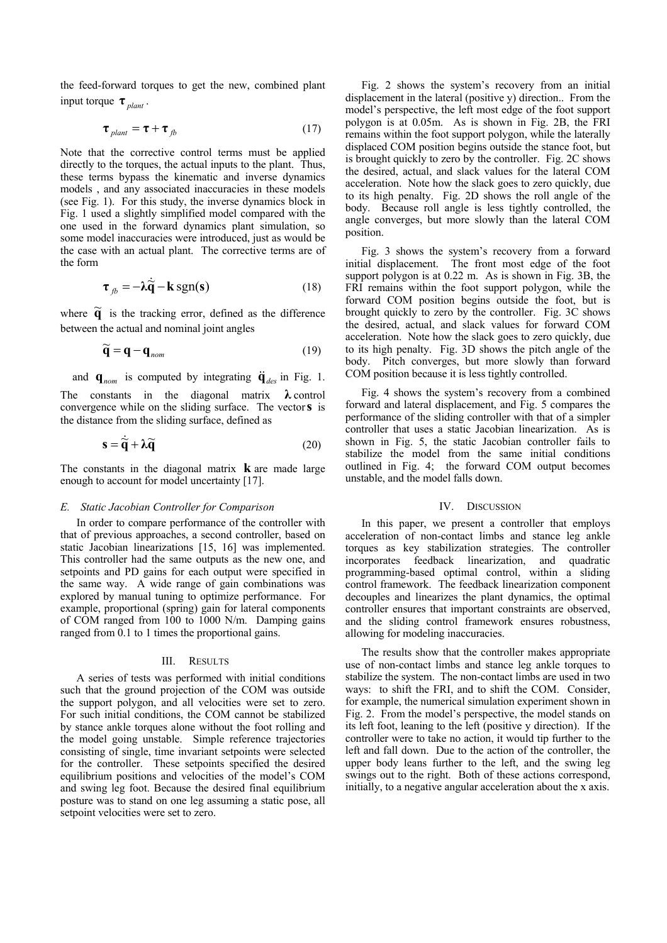the feed-forward torques to get the new, combined plant input torque  $\tau_{\text{plant}}$ .

$$
\boldsymbol{\tau}_{\text{plant}} = \boldsymbol{\tau} + \boldsymbol{\tau}_{\text{fb}} \tag{17}
$$

Note that the corrective control terms must be applied directly to the torques, the actual inputs to the plant. Thus, these terms bypass the kinematic and inverse dynamics models , and any associated inaccuracies in these models (see Fig. 1). For this study, the inverse dynamics block in Fig. 1 used a slightly simplified model compared with the one used in the forward dynamics plant simulation, so some model inaccuracies were introduced, just as would be the case with an actual plant. The corrective terms are of the form

$$
\boldsymbol{\tau}_{fb} = -\lambda \dot{\vec{q}} - \mathbf{k} \text{ sgn}(\mathbf{s}) \tag{18}
$$

where  $\tilde{q}$  is the tracking error, defined as the difference between the actual and nominal joint angles

$$
\widetilde{\mathbf{q}} = \mathbf{q} - \mathbf{q}_{\text{nom}} \tag{19}
$$

and  $\mathbf{q}_{nom}$  is computed by integrating  $\ddot{\mathbf{q}}_{des}$  in Fig. 1. The constants in the diagonal matrix **λ** control convergence while on the sliding surface. The vector**s** is the distance from the sliding surface, defined as

$$
\mathbf{s} = \dot{\tilde{\mathbf{q}}} + \lambda \tilde{\mathbf{q}} \tag{20}
$$

The constants in the diagonal matrix **k** are made large enough to account for model uncertainty [17].

# *E. Static Jacobian Controller for Comparison*

In order to compare performance of the controller with that of previous approaches, a second controller, based on static Jacobian linearizations [15, 16] was implemented. This controller had the same outputs as the new one, and setpoints and PD gains for each output were specified in the same way. A wide range of gain combinations was explored by manual tuning to optimize performance. For example, proportional (spring) gain for lateral components of COM ranged from 100 to 1000 N/m. Damping gains ranged from 0.1 to 1 times the proportional gains.

#### III. RESULTS

A series of tests was performed with initial conditions such that the ground projection of the COM was outside the support polygon, and all velocities were set to zero. For such initial conditions, the COM cannot be stabilized by stance ankle torques alone without the foot rolling and the model going unstable. Simple reference trajectories consisting of single, time invariant setpoints were selected for the controller. These setpoints specified the desired equilibrium positions and velocities of the model's COM and swing leg foot. Because the desired final equilibrium posture was to stand on one leg assuming a static pose, all setpoint velocities were set to zero.

Fig. 2 shows the system's recovery from an initial displacement in the lateral (positive y) direction.. From the model's perspective, the left most edge of the foot support polygon is at 0.05m. As is shown in Fig. 2B, the FRI remains within the foot support polygon, while the laterally displaced COM position begins outside the stance foot, but is brought quickly to zero by the controller. Fig. 2C shows the desired, actual, and slack values for the lateral COM acceleration. Note how the slack goes to zero quickly, due to its high penalty. Fig. 2D shows the roll angle of the body. Because roll angle is less tightly controlled, the angle converges, but more slowly than the lateral COM position.

Fig. 3 shows the system's recovery from a forward initial displacement. The front most edge of the foot support polygon is at 0.22 m. As is shown in Fig. 3B, the FRI remains within the foot support polygon, while the forward COM position begins outside the foot, but is brought quickly to zero by the controller. Fig. 3C shows the desired, actual, and slack values for forward COM acceleration. Note how the slack goes to zero quickly, due to its high penalty. Fig. 3D shows the pitch angle of the body. Pitch converges, but more slowly than forward COM position because it is less tightly controlled.

Fig. 4 shows the system's recovery from a combined forward and lateral displacement, and Fig. 5 compares the performance of the sliding controller with that of a simpler controller that uses a static Jacobian linearization. As is shown in Fig. 5, the static Jacobian controller fails to stabilize the model from the same initial conditions outlined in Fig. 4; the forward COM output becomes unstable, and the model falls down.

# IV. DISCUSSION

In this paper, we present a controller that employs acceleration of non-contact limbs and stance leg ankle torques as key stabilization strategies. The controller incorporates feedback linearization, and quadratic incorporates feedback linearization, and programming-based optimal control, within a sliding control framework. The feedback linearization component decouples and linearizes the plant dynamics, the optimal controller ensures that important constraints are observed, and the sliding control framework ensures robustness, allowing for modeling inaccuracies.

The results show that the controller makes appropriate use of non-contact limbs and stance leg ankle torques to stabilize the system. The non-contact limbs are used in two ways: to shift the FRI, and to shift the COM. Consider, for example, the numerical simulation experiment shown in Fig. 2. From the model's perspective, the model stands on its left foot, leaning to the left (positive y direction). If the controller were to take no action, it would tip further to the left and fall down. Due to the action of the controller, the upper body leans further to the left, and the swing leg swings out to the right. Both of these actions correspond, initially, to a negative angular acceleration about the x axis.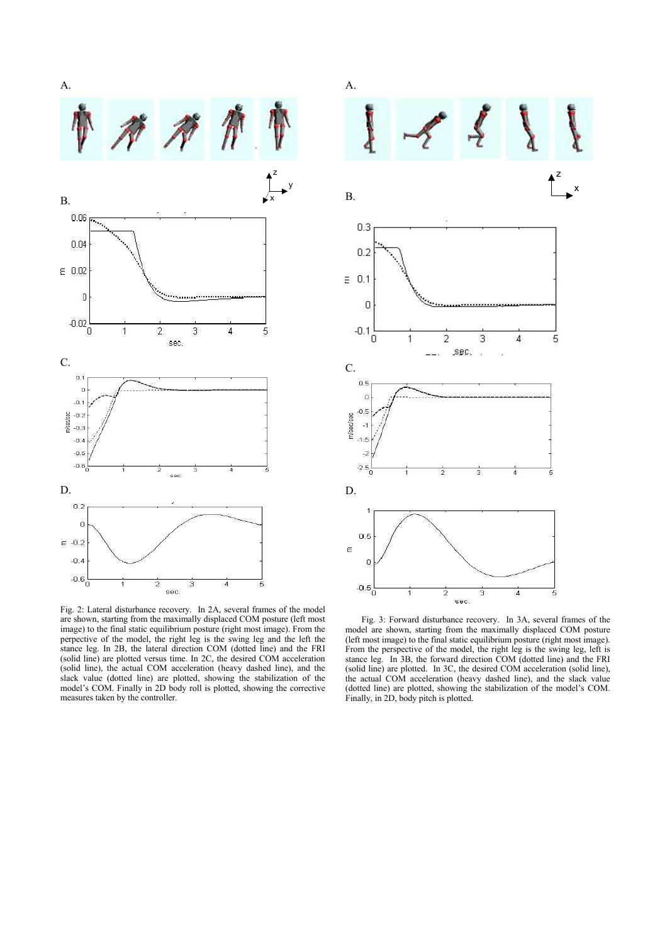

Fig. 2: Lateral disturbance recovery. In 2A, several frames of the model are shown, starting from the maximally displaced COM posture (left most image) to the final static equilibrium posture (right most image). From the perpective of the model, the right leg is the swing leg and the left the stance leg. In 2B, the lateral direction COM (dotted line) and the FRI (solid line) are plotted versus time. In 2C, the desired COM acceleration (solid line), the actual COM acceleration (heavy dashed line), and the slack value (dotted line) are plotted, showing the stabilization of the model's COM. Finally in 2D body roll is plotted, showing the corrective measures taken by the controller.



Fig. 3: Forward disturbance recovery. In 3A, several frames of the model are shown, starting from the maximally displaced COM posture (left most image) to the final static equilibrium posture (right most image). From the perspective of the model, the right leg is the swing leg, left is stance leg. In 3B, the forward direction COM (dotted line) and the FRI (solid line) are plotted. In 3C, the desired COM acceleration (solid line), the actual COM acceleration (heavy dashed line), and the slack value (dotted line) are plotted, showing the stabilization of the model's COM. Finally, in 2D, body pitch is plotted.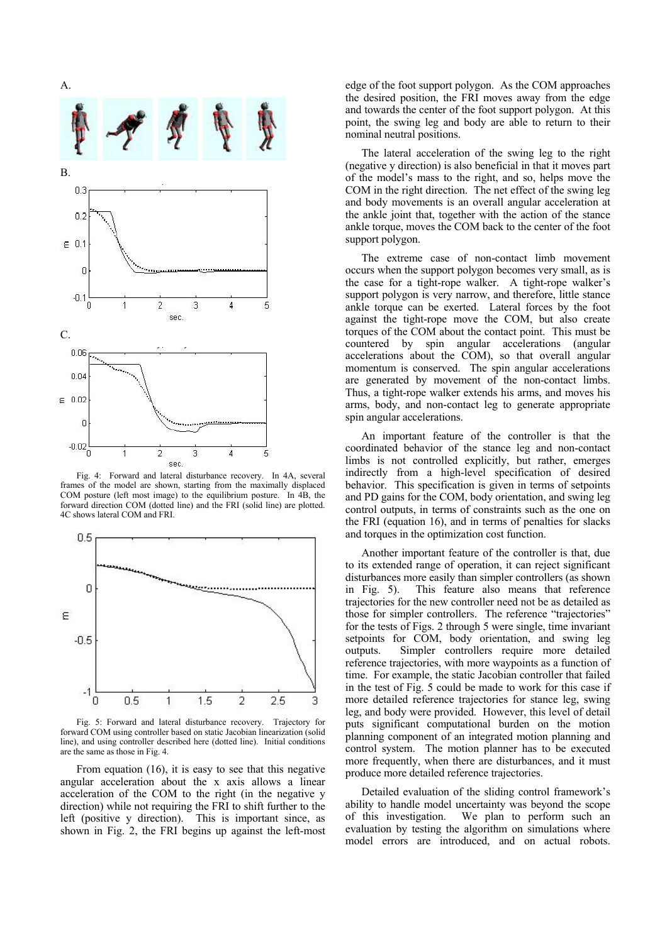

Fig. 4: Forward and lateral disturbance recovery. In 4A, several frames of the model are shown, starting from the maximally displaced COM posture (left most image) to the equilibrium posture. In 4B, the forward direction COM (dotted line) and the FRI (solid line) are plotted. 4C shows lateral COM and FRI.



Fig. 5: Forward and lateral disturbance recovery. Trajectory for forward COM using controller based on static Jacobian linearization (solid line), and using controller described here (dotted line). Initial conditions are the same as those in Fig. 4.

From equation (16), it is easy to see that this negative angular acceleration about the x axis allows a linear acceleration of the COM to the right (in the negative y direction) while not requiring the FRI to shift further to the left (positive y direction). This is important since, as shown in Fig. 2, the FRI begins up against the left-most edge of the foot support polygon. As the COM approaches the desired position, the FRI moves away from the edge and towards the center of the foot support polygon. At this point, the swing leg and body are able to return to their nominal neutral positions.

The lateral acceleration of the swing leg to the right (negative y direction) is also beneficial in that it moves part of the model's mass to the right, and so, helps move the COM in the right direction. The net effect of the swing leg and body movements is an overall angular acceleration at the ankle joint that, together with the action of the stance ankle torque, moves the COM back to the center of the foot support polygon.

The extreme case of non-contact limb movement occurs when the support polygon becomes very small, as is the case for a tight-rope walker. A tight-rope walker's support polygon is very narrow, and therefore, little stance ankle torque can be exerted. Lateral forces by the foot against the tight-rope move the COM, but also create torques of the COM about the contact point. This must be countered by spin angular accelerations (angular accelerations about the COM), so that overall angular momentum is conserved. The spin angular accelerations are generated by movement of the non-contact limbs. Thus, a tight-rope walker extends his arms, and moves his arms, body, and non-contact leg to generate appropriate spin angular accelerations.

An important feature of the controller is that the coordinated behavior of the stance leg and non-contact limbs is not controlled explicitly, but rather, emerges indirectly from a high-level specification of desired behavior. This specification is given in terms of setpoints and PD gains for the COM, body orientation, and swing leg control outputs, in terms of constraints such as the one on the FRI (equation 16), and in terms of penalties for slacks and torques in the optimization cost function.

Another important feature of the controller is that, due to its extended range of operation, it can reject significant disturbances more easily than simpler controllers (as shown in Fig. 5). This feature also means that reference trajectories for the new controller need not be as detailed as those for simpler controllers. The reference "trajectories" for the tests of Figs. 2 through 5 were single, time invariant setpoints for COM, body orientation, and swing leg outputs. Simpler controllers require more detailed reference trajectories, with more waypoints as a function of time. For example, the static Jacobian controller that failed in the test of Fig. 5 could be made to work for this case if more detailed reference trajectories for stance leg, swing leg, and body were provided. However, this level of detail puts significant computational burden on the motion planning component of an integrated motion planning and control system. The motion planner has to be executed more frequently, when there are disturbances, and it must produce more detailed reference trajectories.

Detailed evaluation of the sliding control framework's ability to handle model uncertainty was beyond the scope of this investigation. We plan to perform such an evaluation by testing the algorithm on simulations where model errors are introduced, and on actual robots.